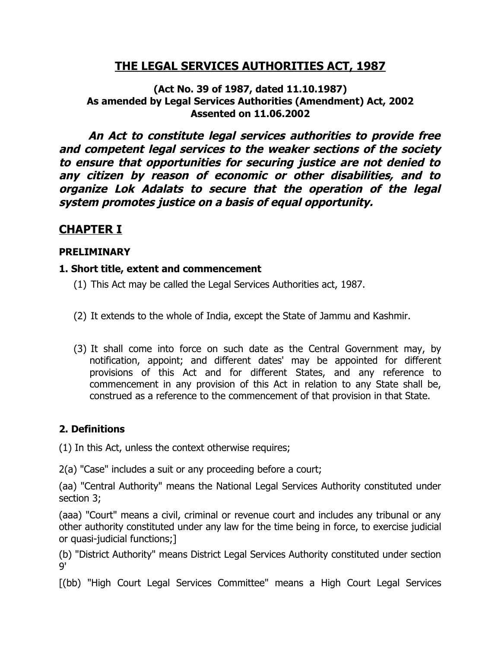# **THE LEGAL SERVICES AUTHORITIES ACT, 1987**

**(Act No. 39 of 1987, dated 11.10.1987) As amended by Legal Services Authorities (Amendment) Act, 2002 Assented on 11.06.2002**

**An Act to constitute legal services authorities to provide free and competent legal services to the weaker sections of the society to ensure that opportunities for securing justice are not denied to any citizen by reason of economic or other disabilities, and to organize Lok Adalats to secure that the operation of the legal system promotes justice on a basis of equal opportunity.**

# **CHAPTER I**

#### **PRELIMINARY**

#### **1. Short title, extent and commencement**

- (1) This Act may be called the Legal Services Authorities act, 1987.
- (2) It extends to the whole of India, except the State of Jammu and Kashmir.
- (3) It shall come into force on such date as the Central Government may, by notification, appoint; and different dates' may be appointed for different provisions of this Act and for different States, and any reference to commencement in any provision of this Act in relation to any State shall be, construed as a reference to the commencement of that provision in that State.

#### **2. Definitions**

(1) In this Act, unless the context otherwise requires;

2(a) "Case" includes a suit or any proceeding before a court;

(aa) "Central Authority" means the National Legal Services Authority constituted under section 3;

(aaa) "Court" means a civil, criminal or revenue court and includes any tribunal or any other authority constituted under any law for the time being in force, to exercise judicial or quasi-judicial functions;]

(b) "District Authority" means District Legal Services Authority constituted under section 9'

[(bb) "High Court Legal Services Committee" means a High Court Legal Services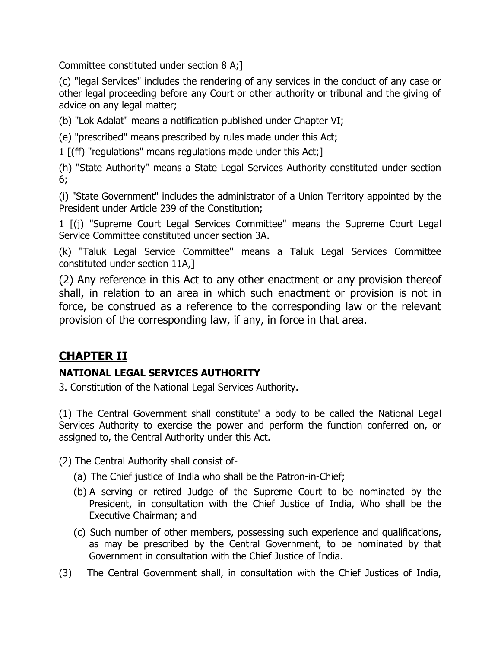Committee constituted under section 8 A;]

(c) "legal Services" includes the rendering of any services in the conduct of any case or other legal proceeding before any Court or other authority or tribunal and the giving of advice on any legal matter;

(b) "Lok Adalat" means a notification published under Chapter VI;

(e) "prescribed" means prescribed by rules made under this Act;

1 [(ff) "regulations" means regulations made under this Act;]

(h) "State Authority" means a State Legal Services Authority constituted under section 6;

(i) "State Government" includes the administrator of a Union Territory appointed by the President under Article 239 of the Constitution;

1 [(j) "Supreme Court Legal Services Committee" means the Supreme Court Legal Service Committee constituted under section 3A.

(k) "Taluk Legal Service Committee" means a Taluk Legal Services Committee constituted under section 11A,]

(2) Any reference in this Act to any other enactment or any provision thereof shall, in relation to an area in which such enactment or provision is not in force, be construed as a reference to the corresponding law or the relevant provision of the corresponding law, if any, in force in that area.

# **CHAPTER II**

# **NATIONAL LEGAL SERVICES AUTHORITY**

3. Constitution of the National Legal Services Authority.

(1) The Central Government shall constitute' a body to be called the National Legal Services Authority to exercise the power and perform the function conferred on, or assigned to, the Central Authority under this Act.

(2) The Central Authority shall consist of-

- (a) The Chief justice of India who shall be the Patron-in-Chief;
- (b) A serving or retired Judge of the Supreme Court to be nominated by the President, in consultation with the Chief Justice of India, Who shall be the Executive Chairman; and
- (c) Such number of other members, possessing such experience and qualifications, as may be prescribed by the Central Government, to be nominated by that Government in consultation with the Chief Justice of India.
- (3) The Central Government shall, in consultation with the Chief Justices of India,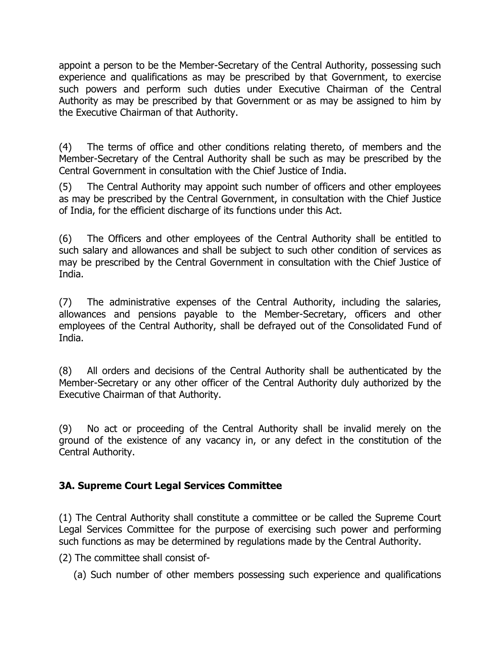appoint a person to be the Member-Secretary of the Central Authority, possessing such experience and qualifications as may be prescribed by that Government, to exercise such powers and perform such duties under Executive Chairman of the Central Authority as may be prescribed by that Government or as may be assigned to him by the Executive Chairman of that Authority.

(4) The terms of office and other conditions relating thereto, of members and the Member-Secretary of the Central Authority shall be such as may be prescribed by the Central Government in consultation with the Chief Justice of India.

(5) The Central Authority may appoint such number of officers and other employees as may be prescribed by the Central Government, in consultation with the Chief Justice of India, for the efficient discharge of its functions under this Act.

(6) The Officers and other employees of the Central Authority shall be entitled to such salary and allowances and shall be subject to such other condition of services as may be prescribed by the Central Government in consultation with the Chief Justice of India.

(7) The administrative expenses of the Central Authority, including the salaries, allowances and pensions payable to the Member-Secretary, officers and other employees of the Central Authority, shall be defrayed out of the Consolidated Fund of India.

(8) All orders and decisions of the Central Authority shall be authenticated by the Member-Secretary or any other officer of the Central Authority duly authorized by the Executive Chairman of that Authority.

(9) No act or proceeding of the Central Authority shall be invalid merely on the ground of the existence of any vacancy in, or any defect in the constitution of the Central Authority.

# **3A. Supreme Court Legal Services Committee**

(1) The Central Authority shall constitute a committee or be called the Supreme Court Legal Services Committee for the purpose of exercising such power and performing such functions as may be determined by regulations made by the Central Authority.

(2) The committee shall consist of-

(a) Such number of other members possessing such experience and qualifications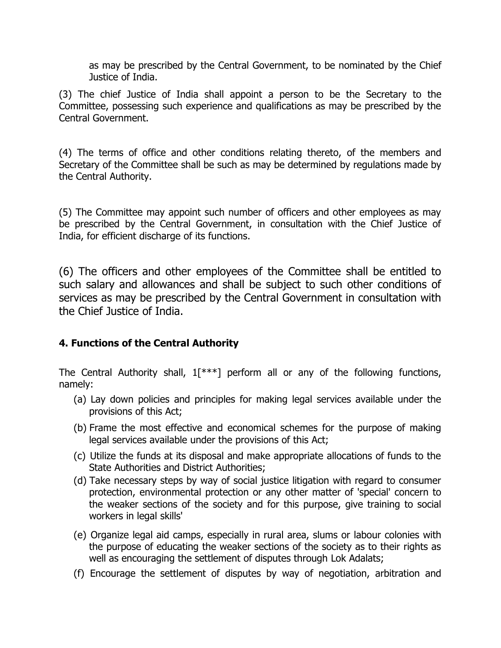as may be prescribed by the Central Government, to be nominated by the Chief Justice of India.

(3) The chief Justice of India shall appoint a person to be the Secretary to the Committee, possessing such experience and qualifications as may be prescribed by the Central Government.

(4) The terms of office and other conditions relating thereto, of the members and Secretary of the Committee shall be such as may be determined by regulations made by the Central Authority.

(5) The Committee may appoint such number of officers and other employees as may be prescribed by the Central Government, in consultation with the Chief Justice of India, for efficient discharge of its functions.

(6) The officers and other employees of the Committee shall be entitled to such salary and allowances and shall be subject to such other conditions of services as may be prescribed by the Central Government in consultation with the Chief Justice of India.

# **4. Functions of the Central Authority**

The Central Authority shall,  $1[^{***}]$  perform all or any of the following functions, namely:

- (a) Lay down policies and principles for making legal services available under the provisions of this Act;
- (b) Frame the most effective and economical schemes for the purpose of making legal services available under the provisions of this Act;
- (c) Utilize the funds at its disposal and make appropriate allocations of funds to the State Authorities and District Authorities;
- (d) Take necessary steps by way of social justice litigation with regard to consumer protection, environmental protection or any other matter of 'special' concern to the weaker sections of the society and for this purpose, give training to social workers in legal skills'
- (e) Organize legal aid camps, especially in rural area, slums or labour colonies with the purpose of educating the weaker sections of the society as to their rights as well as encouraging the settlement of disputes through Lok Adalats;
- (f) Encourage the settlement of disputes by way of negotiation, arbitration and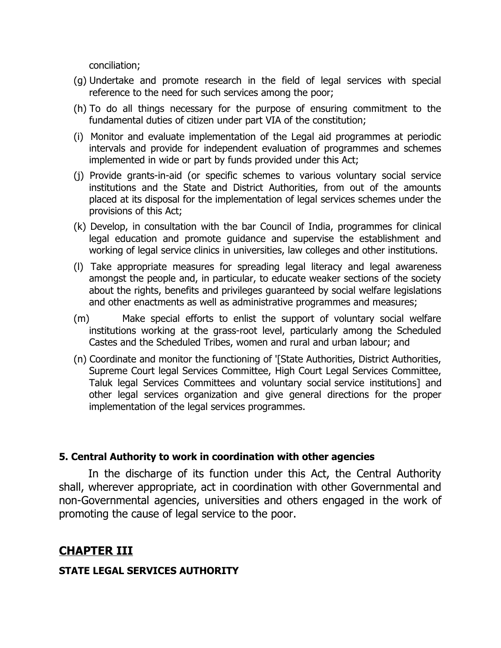conciliation;

- (g) Undertake and promote research in the field of legal services with special reference to the need for such services among the poor;
- (h) To do all things necessary for the purpose of ensuring commitment to the fundamental duties of citizen under part VIA of the constitution;
- (i) Monitor and evaluate implementation of the Legal aid programmes at periodic intervals and provide for independent evaluation of programmes and schemes implemented in wide or part by funds provided under this Act;
- (j) Provide grants-in-aid (or specific schemes to various voluntary social service institutions and the State and District Authorities, from out of the amounts placed at its disposal for the implementation of legal services schemes under the provisions of this Act;
- (k) Develop, in consultation with the bar Council of India, programmes for clinical legal education and promote guidance and supervise the establishment and working of legal service clinics in universities, law colleges and other institutions.
- (l) Take appropriate measures for spreading legal literacy and legal awareness amongst the people and, in particular, to educate weaker sections of the society about the rights, benefits and privileges guaranteed by social welfare legislations and other enactments as well as administrative programmes and measures;
- (m) Make special efforts to enlist the support of voluntary social welfare institutions working at the grass-root level, particularly among the Scheduled Castes and the Scheduled Tribes, women and rural and urban labour; and
- (n) Coordinate and monitor the functioning of '[State Authorities, District Authorities, Supreme Court legal Services Committee, High Court Legal Services Committee, Taluk legal Services Committees and voluntary social service institutions] and other legal services organization and give general directions for the proper implementation of the legal services programmes.

#### **5. Central Authority to work in coordination with other agencies**

In the discharge of its function under this Act, the Central Authority shall, wherever appropriate, act in coordination with other Governmental and non-Governmental agencies, universities and others engaged in the work of promoting the cause of legal service to the poor.

# **CHAPTER III**

# **STATE LEGAL SERVICES AUTHORITY**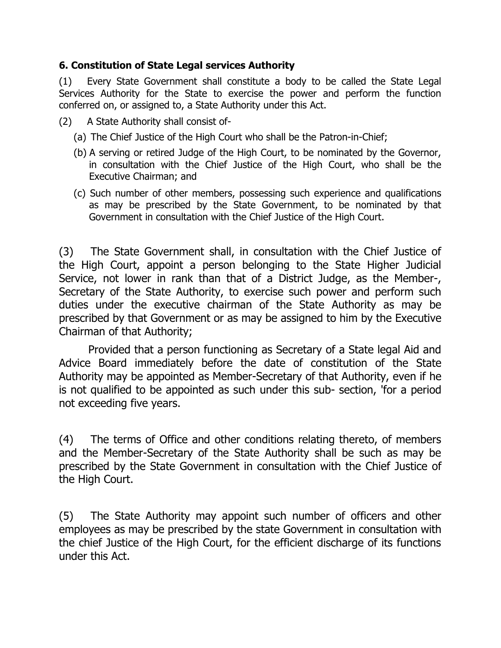### **6. Constitution of State Legal services Authority**

(1) Every State Government shall constitute a body to be called the State Legal Services Authority for the State to exercise the power and perform the function conferred on, or assigned to, a State Authority under this Act.

- (2) A State Authority shall consist of-
	- (a) The Chief Justice of the High Court who shall be the Patron-in-Chief;
	- (b) A serving or retired Judge of the High Court, to be nominated by the Governor, in consultation with the Chief Justice of the High Court, who shall be the Executive Chairman; and
	- (c) Such number of other members, possessing such experience and qualifications as may be prescribed by the State Government, to be nominated by that Government in consultation with the Chief Justice of the High Court.

(3) The State Government shall, in consultation with the Chief Justice of the High Court, appoint a person belonging to the State Higher Judicial Service, not lower in rank than that of a District Judge, as the Member-, Secretary of the State Authority, to exercise such power and perform such duties under the executive chairman of the State Authority as may be prescribed by that Government or as may be assigned to him by the Executive Chairman of that Authority;

Provided that a person functioning as Secretary of a State legal Aid and Advice Board immediately before the date of constitution of the State Authority may be appointed as Member-Secretary of that Authority, even if he is not qualified to be appointed as such under this sub- section, 'for a period not exceeding five years.

(4) The terms of Office and other conditions relating thereto, of members and the Member-Secretary of the State Authority shall be such as may be prescribed by the State Government in consultation with the Chief Justice of the High Court.

(5) The State Authority may appoint such number of officers and other employees as may be prescribed by the state Government in consultation with the chief Justice of the High Court, for the efficient discharge of its functions under this Act.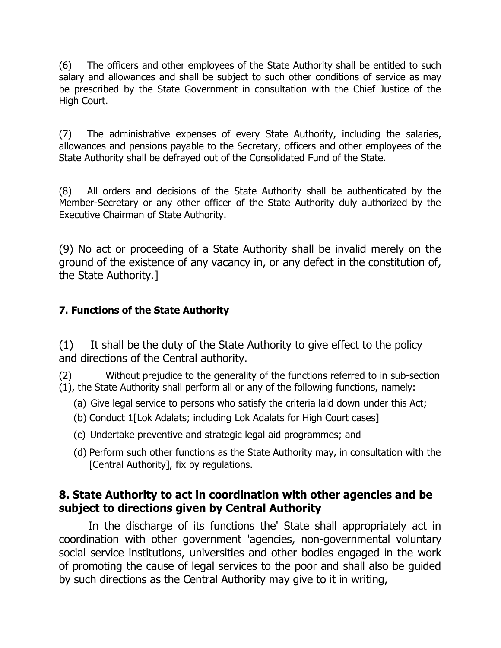(6) The officers and other employees of the State Authority shall be entitled to such salary and allowances and shall be subject to such other conditions of service as may be prescribed by the State Government in consultation with the Chief Justice of the High Court.

(7) The administrative expenses of every State Authority, including the salaries, allowances and pensions payable to the Secretary, officers and other employees of the State Authority shall be defrayed out of the Consolidated Fund of the State.

(8) All orders and decisions of the State Authority shall be authenticated by the Member-Secretary or any other officer of the State Authority duly authorized by the Executive Chairman of State Authority.

(9) No act or proceeding of a State Authority shall be invalid merely on the ground of the existence of any vacancy in, or any defect in the constitution of, the State Authority.]

# **7. Functions of the State Authority**

(1) It shall be the duty of the State Authority to give effect to the policy and directions of the Central authority.

(2) Without prejudice to the generality of the functions referred to in sub-section (1), the State Authority shall perform all or any of the following functions, namely:

- (a) Give legal service to persons who satisfy the criteria laid down under this Act;
- (b) Conduct 1[Lok Adalats; including Lok Adalats for High Court cases]
- (c) Undertake preventive and strategic legal aid programmes; and
- (d) Perform such other functions as the State Authority may, in consultation with the [Central Authority], fix by regulations.

# **8. State Authority to act in coordination with other agencies and be subject to directions given by Central Authority**

In the discharge of its functions the' State shall appropriately act in coordination with other government 'agencies, non-governmental voluntary social service institutions, universities and other bodies engaged in the work of promoting the cause of legal services to the poor and shall also be guided by such directions as the Central Authority may give to it in writing,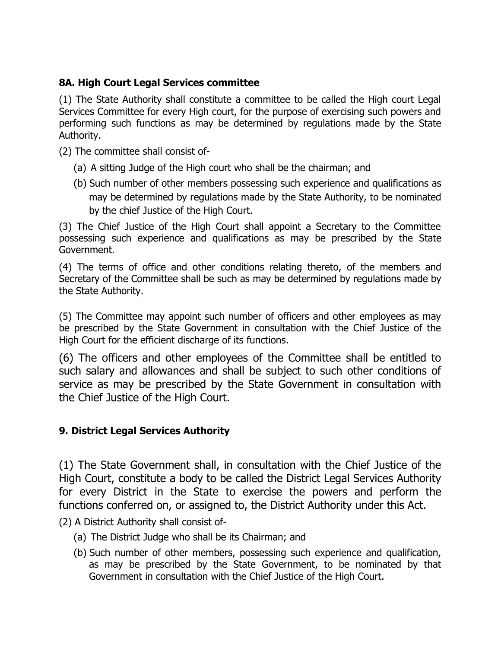# **8A. High Court Legal Services committee**

(1) The State Authority shall constitute a committee to be called the High court Legal Services Committee for every High court, for the purpose of exercising such powers and performing such functions as may be determined by regulations made by the State Authority.

(2) The committee shall consist of-

- (a) A sitting Judge of the High court who shall be the chairman; and
- (b) Such number of other members possessing such experience and qualifications as may be determined by regulations made by the State Authority, to be nominated by the chief Justice of the High Court.

(3) The Chief Justice of the High Court shall appoint a Secretary to the Committee possessing such experience and qualifications as may be prescribed by the State Government.

(4) The terms of office and other conditions relating thereto, of the members and Secretary of the Committee shall be such as may be determined by regulations made by the State Authority.

(5) The Committee may appoint such number of officers and other employees as may be prescribed by the State Government in consultation with the Chief Justice of the High Court for the efficient discharge of its functions.

(6) The officers and other employees of the Committee shall be entitled to such salary and allowances and shall be subject to such other conditions of service as may be prescribed by the State Government in consultation with the Chief Justice of the High Court.

# **9. District Legal Services Authority**

(1) The State Government shall, in consultation with the Chief Justice of the High Court, constitute a body to be called the District Legal Services Authority for every District in the State to exercise the powers and perform the functions conferred on, or assigned to, the District Authority under this Act.

(2) A District Authority shall consist of-

- (a) The District Judge who shall be its Chairman; and
- (b) Such number of other members, possessing such experience and qualification, as may be prescribed by the State Government, to be nominated by that Government in consultation with the Chief Justice of the High Court.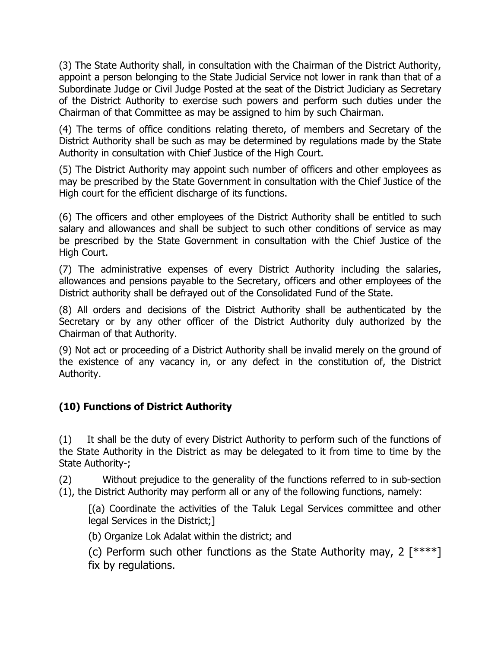(3) The State Authority shall, in consultation with the Chairman of the District Authority, appoint a person belonging to the State Judicial Service not lower in rank than that of a Subordinate Judge or Civil Judge Posted at the seat of the District Judiciary as Secretary of the District Authority to exercise such powers and perform such duties under the Chairman of that Committee as may be assigned to him by such Chairman.

(4) The terms of office conditions relating thereto, of members and Secretary of the District Authority shall be such as may be determined by regulations made by the State Authority in consultation with Chief Justice of the High Court.

(5) The District Authority may appoint such number of officers and other employees as may be prescribed by the State Government in consultation with the Chief Justice of the High court for the efficient discharge of its functions.

(6) The officers and other employees of the District Authority shall be entitled to such salary and allowances and shall be subject to such other conditions of service as may be prescribed by the State Government in consultation with the Chief Justice of the High Court.

(7) The administrative expenses of every District Authority including the salaries, allowances and pensions payable to the Secretary, officers and other employees of the District authority shall be defrayed out of the Consolidated Fund of the State.

(8) All orders and decisions of the District Authority shall be authenticated by the Secretary or by any other officer of the District Authority duly authorized by the Chairman of that Authority.

(9) Not act or proceeding of a District Authority shall be invalid merely on the ground of the existence of any vacancy in, or any defect in the constitution of, the District Authority.

# **(10) Functions of District Authority**

(1) It shall be the duty of every District Authority to perform such of the functions of the State Authority in the District as may be delegated to it from time to time by the State Authority-;

(2) Without prejudice to the generality of the functions referred to in sub-section (1), the District Authority may perform all or any of the following functions, namely:

[(a) Coordinate the activities of the Taluk Legal Services committee and other legal Services in the District;]

(b) Organize Lok Adalat within the district; and

(c) Perform such other functions as the State Authority may, 2  $[****]$ fix by regulations.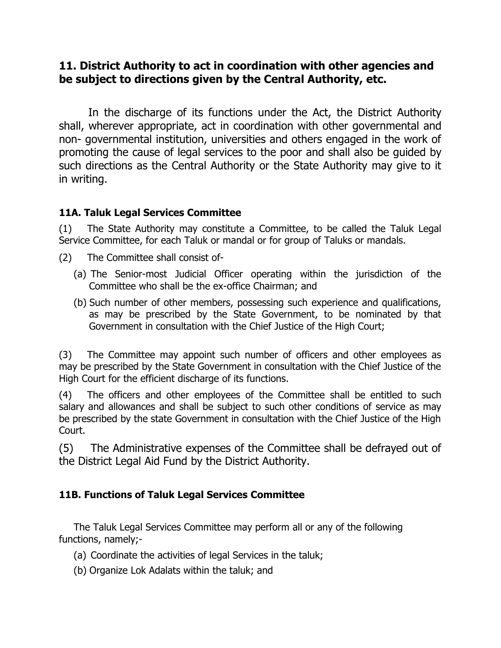# **11. District Authority to act in coordination with other agencies and be subject to directions given by the Central Authority, etc.**

In the discharge of its functions under the Act, the District Authority shall, wherever appropriate, act in coordination with other governmental and non- governmental institution, universities and others engaged in the work of promoting the cause of legal services to the poor and shall also be guided by such directions as the Central Authority or the State Authority may give to it in writing.

# **11A. Taluk Legal Services Committee**

(1) The State Authority may constitute a Committee, to be called the Taluk Legal Service Committee, for each Taluk or mandal or for group of Taluks or mandals.

- (2) The Committee shall consist of-
	- (a) The Senior-most Judicial Officer operating within the jurisdiction of the Committee who shall be the ex-office Chairman; and
	- (b) Such number of other members, possessing such experience and qualifications, as may be prescribed by the State Government, to be nominated by that Government in consultation with the Chief Justice of the High Court;

(3) The Committee may appoint such number of officers and other employees as may be prescribed by the State Government in consultation with the Chief Justice of the High Court for the efficient discharge of its functions.

(4) The officers and other employees of the Committee shall be entitled to such salary and allowances and shall be subject to such other conditions of service as may be prescribed by the state Government in consultation with the Chief Justice of the High Court.

(5) The Administrative expenses of the Committee shall be defrayed out of the District Legal Aid Fund by the District Authority.

# **11B. Functions of Taluk Legal Services Committee**

The Taluk Legal Services Committee may perform all or any of the following functions, namely;-

- (a) Coordinate the activities of legal Services in the taluk;
- (b) Organize Lok Adalats within the taluk; and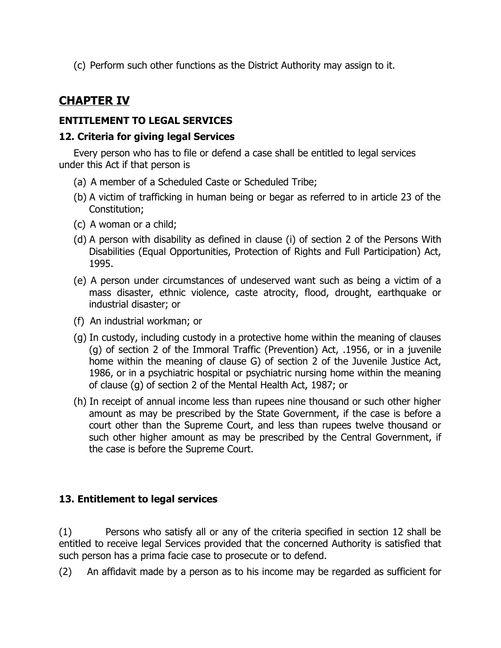(c) Perform such other functions as the District Authority may assign to it.

# **CHAPTER IV**

# **ENTITLEMENT TO LEGAL SERVICES**

### **12. Criteria for giving legal Services**

Every person who has to file or defend a case shall be entitled to legal services under this Act if that person is

- (a) A member of a Scheduled Caste or Scheduled Tribe;
- (b) A victim of trafficking in human being or begar as referred to in article 23 of the Constitution;
- (c) A woman or a child;
- (d) A person with disability as defined in clause (i) of section 2 of the Persons With Disabilities (Equal Opportunities, Protection of Rights and Full Participation) Act, 1995.
- (e) A person under circumstances of undeserved want such as being a victim of a mass disaster, ethnic violence, caste atrocity, flood, drought, earthquake or industrial disaster; or
- (f) An industrial workman; or
- (g) In custody, including custody in a protective home within the meaning of clauses (g) of section 2 of the Immoral Traffic (Prevention) Act, .1956, or in a juvenile home within the meaning of clause G) of section 2 of the Juvenile Justice Act, 1986, or in a psychiatric hospital or psychiatric nursing home within the meaning of clause (g) of section 2 of the Mental Health Act, 1987; or
- (h) In receipt of annual income less than rupees nine thousand or such other higher amount as may be prescribed by the State Government, if the case is before a court other than the Supreme Court, and less than rupees twelve thousand or such other higher amount as may be prescribed by the Central Government, if the case is before the Supreme Court.

# **13. Entitlement to legal services**

(1) Persons who satisfy all or any of the criteria specified in section 12 shall be entitled to receive legal Services provided that the concerned Authority is satisfied that such person has a prima facie case to prosecute or to defend.

(2) An affidavit made by a person as to his income may be regarded as sufficient for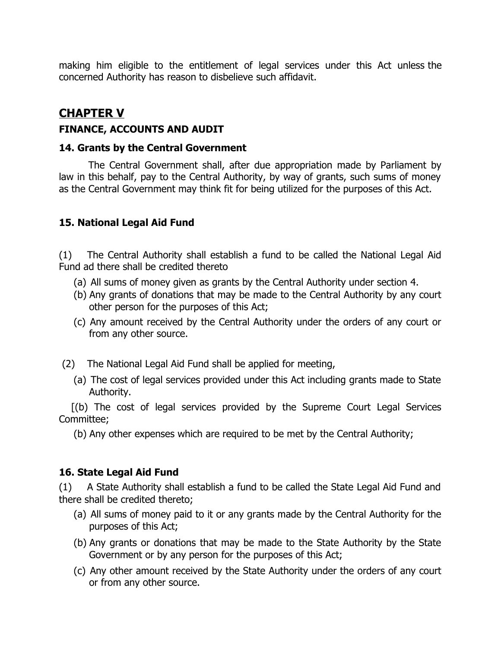making him eligible to the entitlement of legal services under this Act unless the concerned Authority has reason to disbelieve such affidavit.

# **CHAPTER V**

### **FINANCE, ACCOUNTS AND AUDIT**

#### **14. Grants by the Central Government**

The Central Government shall, after due appropriation made by Parliament by law in this behalf, pay to the Central Authority, by way of grants, such sums of money as the Central Government may think fit for being utilized for the purposes of this Act.

### **15. National Legal Aid Fund**

(1) The Central Authority shall establish a fund to be called the National Legal Aid Fund ad there shall be credited thereto

- (a) All sums of money given as grants by the Central Authority under section 4.
- (b) Any grants of donations that may be made to the Central Authority by any court other person for the purposes of this Act;
- (c) Any amount received by the Central Authority under the orders of any court or from any other source.
- (2) The National Legal Aid Fund shall be applied for meeting,
	- (a) The cost of legal services provided under this Act including grants made to State Authority.

[(b) The cost of legal services provided by the Supreme Court Legal Services Committee;

(b) Any other expenses which are required to be met by the Central Authority;

#### **16. State Legal Aid Fund**

(1) A State Authority shall establish a fund to be called the State Legal Aid Fund and there shall be credited thereto;

- (a) All sums of money paid to it or any grants made by the Central Authority for the purposes of this Act;
- (b) Any grants or donations that may be made to the State Authority by the State Government or by any person for the purposes of this Act;
- (c) Any other amount received by the State Authority under the orders of any court or from any other source.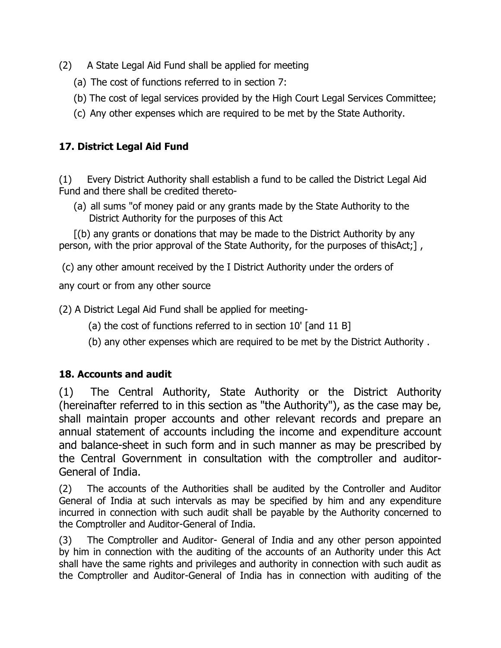- (2) A State Legal Aid Fund shall be applied for meeting
	- (a) The cost of functions referred to in section 7:
	- (b) The cost of legal services provided by the High Court Legal Services Committee;
	- (c) Any other expenses which are required to be met by the State Authority.

# **17. District Legal Aid Fund**

(1) Every District Authority shall establish a fund to be called the District Legal Aid Fund and there shall be credited thereto-

(a) all sums "of money paid or any grants made by the State Authority to the District Authority for the purposes of this Act

[(b) any grants or donations that may be made to the District Authority by any person, with the prior approval of the State Authority, for the purposes of thisAct;],

(c) any other amount received by the I District Authority under the orders of

any court or from any other source

(2) A District Legal Aid Fund shall be applied for meeting-

- (a) the cost of functions referred to in section 10' [and 11 B]
- (b) any other expenses which are required to be met by the District Authority .

# **18. Accounts and audit**

(1) The Central Authority, State Authority or the District Authority (hereinafter referred to in this section as "the Authority"), as the case may be, shall maintain proper accounts and other relevant records and prepare an annual statement of accounts including the income and expenditure account and balance-sheet in such form and in such manner as may be prescribed by the Central Government in consultation with the comptroller and auditor-General of India.

(2) The accounts of the Authorities shall be audited by the Controller and Auditor General of India at such intervals as may be specified by him and any expenditure incurred in connection with such audit shall be payable by the Authority concerned to the Comptroller and Auditor-General of India.

(3) The Comptroller and Auditor- General of India and any other person appointed by him in connection with the auditing of the accounts of an Authority under this Act shall have the same rights and privileges and authority in connection with such audit as the Comptroller and Auditor-General of India has in connection with auditing of the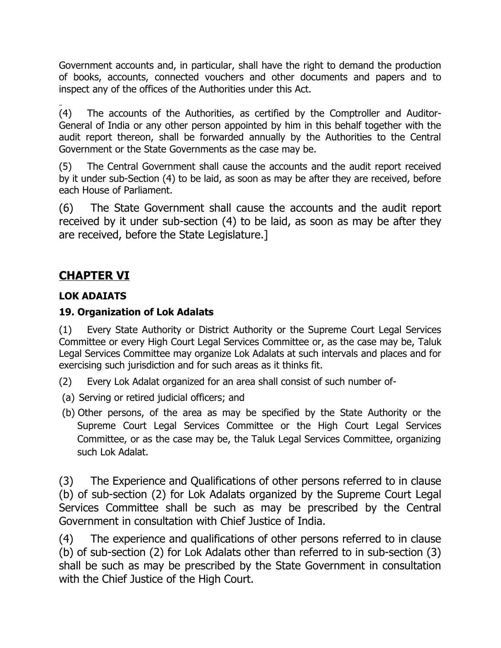Government accounts and, in particular, shall have the right to demand the production of books, accounts, connected vouchers and other documents and papers and to inspect any of the offices of the Authorities under this Act.

(4) The accounts of the Authorities, as certified by the Comptroller and Auditor-General of India or any other person appointed by him in this behalf together with the audit report thereon, shall be forwarded annually by the Authorities to the Central Government or the State Governments as the case may be.

(5) The Central Government shall cause the accounts and the audit report received by it under sub-Section (4) to be laid, as soon as may be after they are received, before each House of Parliament.

(6) The State Government shall cause the accounts and the audit report received by it under sub-section (4) to be laid, as soon as may be after they are received, before the State Legislature.]

# **CHAPTER VI**

# **LOK ADAIATS**

# **19. Organization of Lok Adalats**

(1) Every State Authority or District Authority or the Supreme Court Legal Services Committee or every High Court Legal Services Committee or, as the case may be, Taluk Legal Services Committee may organize Lok Adalats at such intervals and places and for exercising such jurisdiction and for such areas as it thinks fit.

(2) Every Lok Adalat organized for an area shall consist of such number of-

- (a) Serving or retired judicial officers; and
- (b) Other persons, of the area as may be specified by the State Authority or the Supreme Court Legal Services Committee or the High Court Legal Services Committee, or as the case may be, the Taluk Legal Services Committee, organizing such Lok Adalat.

(3) The Experience and Qualifications of other persons referred to in clause (b) of sub-section (2) for Lok Adalats organized by the Supreme Court Legal Services Committee shall be such as may be prescribed by the Central Government in consultation with Chief Justice of India.

(4) The experience and qualifications of other persons referred to in clause (b) of sub-section (2) for Lok Adalats other than referred to in sub-section (3) shall be such as may be prescribed by the State Government in consultation with the Chief Justice of the High Court.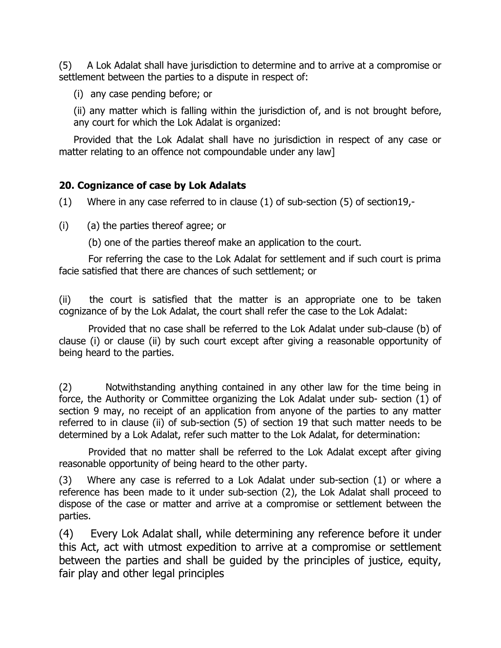(5) A Lok Adalat shall have jurisdiction to determine and to arrive at a compromise or settlement between the parties to a dispute in respect of:

(i) any case pending before; or

(ii) any matter which is falling within the jurisdiction of, and is not brought before, any court for which the Lok Adalat is organized:

Provided that the Lok Adalat shall have no jurisdiction in respect of any case or matter relating to an offence not compoundable under any law]

### **20. Cognizance of case by Lok Adalats**

(1) Where in any case referred to in clause (1) of sub-section (5) of section19,-

(i) (a) the parties thereof agree; or

(b) one of the parties thereof make an application to the court.

For referring the case to the Lok Adalat for settlement and if such court is prima facie satisfied that there are chances of such settlement; or

(ii) the court is satisfied that the matter is an appropriate one to be taken cognizance of by the Lok Adalat, the court shall refer the case to the Lok Adalat:

Provided that no case shall be referred to the Lok Adalat under sub-clause (b) of clause (i) or clause (ii) by such court except after giving a reasonable opportunity of being heard to the parties.

(2) Notwithstanding anything contained in any other law for the time being in force, the Authority or Committee organizing the Lok Adalat under sub- section (1) of section 9 may, no receipt of an application from anyone of the parties to any matter referred to in clause (ii) of sub-section (5) of section 19 that such matter needs to be determined by a Lok Adalat, refer such matter to the Lok Adalat, for determination:

Provided that no matter shall be referred to the Lok Adalat except after giving reasonable opportunity of being heard to the other party.

(3) Where any case is referred to a Lok Adalat under sub-section (1) or where a reference has been made to it under sub-section (2), the Lok Adalat shall proceed to dispose of the case or matter and arrive at a compromise or settlement between the parties.

(4) Every Lok Adalat shall, while determining any reference before it under this Act, act with utmost expedition to arrive at a compromise or settlement between the parties and shall be guided by the principles of justice, equity, fair play and other legal principles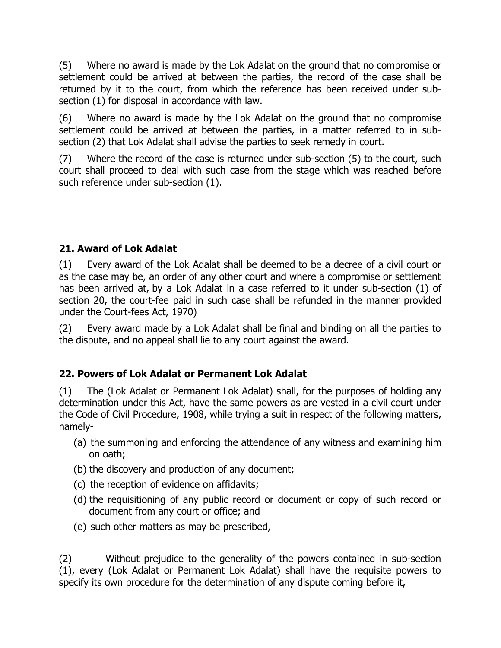(5) Where no award is made by the Lok Adalat on the ground that no compromise or settlement could be arrived at between the parties, the record of the case shall be returned by it to the court, from which the reference has been received under subsection (1) for disposal in accordance with law.

(6) Where no award is made by the Lok Adalat on the ground that no compromise settlement could be arrived at between the parties, in a matter referred to in subsection (2) that Lok Adalat shall advise the parties to seek remedy in court.

(7) Where the record of the case is returned under sub-section (5) to the court, such court shall proceed to deal with such case from the stage which was reached before such reference under sub-section (1).

# **21. Award of Lok Adalat**

(1) Every award of the Lok Adalat shall be deemed to be a decree of a civil court or as the case may be, an order of any other court and where a compromise or settlement has been arrived at, by a Lok Adalat in a case referred to it under sub-section (1) of section 20, the court-fee paid in such case shall be refunded in the manner provided under the Court-fees Act, 1970)

(2) Every award made by a Lok Adalat shall be final and binding on all the parties to the dispute, and no appeal shall lie to any court against the award.

# **22. Powers of Lok Adalat or Permanent Lok Adalat**

(1) The (Lok Adalat or Permanent Lok Adalat) shall, for the purposes of holding any determination under this Act, have the same powers as are vested in a civil court under the Code of Civil Procedure, 1908, while trying a suit in respect of the following matters, namely-

- (a) the summoning and enforcing the attendance of any witness and examining him on oath;
- (b) the discovery and production of any document;
- (c) the reception of evidence on affidavits;
- (d) the requisitioning of any public record or document or copy of such record or document from any court or office; and
- (e) such other matters as may be prescribed,

(2) Without prejudice to the generality of the powers contained in sub-section (1), every (Lok Adalat or Permanent Lok Adalat) shall have the requisite powers to specify its own procedure for the determination of any dispute coming before it,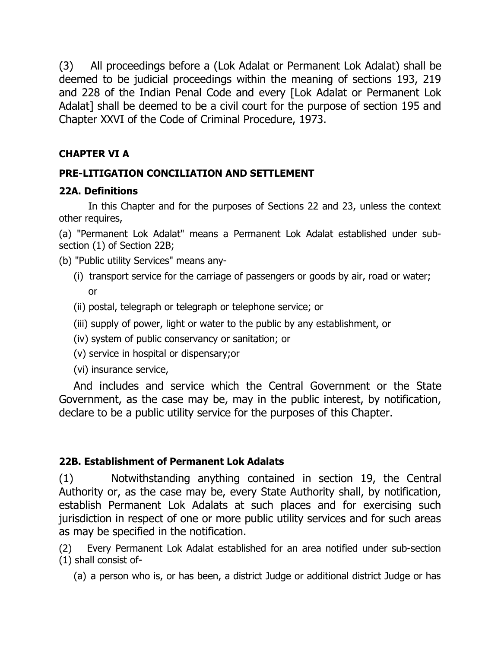(3) All proceedings before a (Lok Adalat or Permanent Lok Adalat) shall be deemed to be judicial proceedings within the meaning of sections 193, 219 and 228 of the Indian Penal Code and every [Lok Adalat or Permanent Lok Adalat] shall be deemed to be a civil court for the purpose of section 195 and Chapter XXVI of the Code of Criminal Procedure, 1973.

# **CHAPTER VI A**

# **PRE-LITIGATION CONCILIATION AND SETTLEMENT**

# **22A. Definitions**

In this Chapter and for the purposes of Sections 22 and 23, unless the context other requires,

(a) "Permanent Lok Adalat" means a Permanent Lok Adalat established under subsection (1) of Section 22B;

- (b) "Public utility Services" means any-
	- (i) transport service for the carriage of passengers or goods by air, road or water; or
	- (ii) postal, telegraph or telegraph or telephone service; or
	- (iii) supply of power, light or water to the public by any establishment, or
	- (iv) system of public conservancy or sanitation; or
	- (v) service in hospital or dispensary;or
	- (vi) insurance service,

And includes and service which the Central Government or the State Government, as the case may be, may in the public interest, by notification, declare to be a public utility service for the purposes of this Chapter.

# **22B. Establishment of Permanent Lok Adalats**

(1) Notwithstanding anything contained in section 19, the Central Authority or, as the case may be, every State Authority shall, by notification, establish Permanent Lok Adalats at such places and for exercising such jurisdiction in respect of one or more public utility services and for such areas as may be specified in the notification.

(2) Every Permanent Lok Adalat established for an area notified under sub-section (1) shall consist of-

(a) a person who is, or has been, a district Judge or additional district Judge or has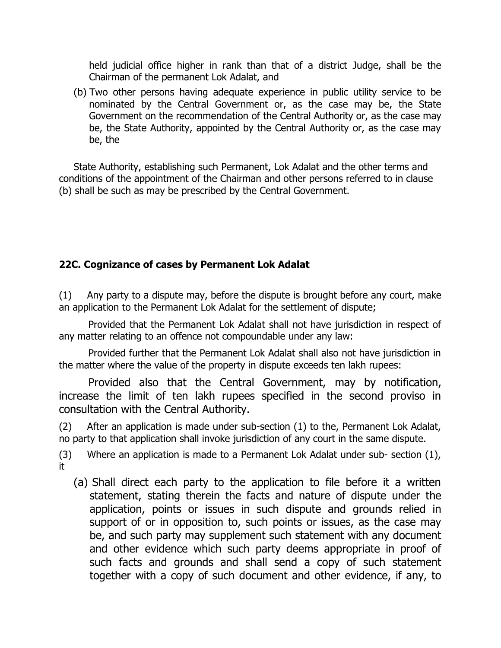held judicial office higher in rank than that of a district Judge, shall be the Chairman of the permanent Lok Adalat, and

(b) Two other persons having adequate experience in public utility service to be nominated by the Central Government or, as the case may be, the State Government on the recommendation of the Central Authority or, as the case may be, the State Authority, appointed by the Central Authority or, as the case may be, the

State Authority, establishing such Permanent, Lok Adalat and the other terms and conditions of the appointment of the Chairman and other persons referred to in clause (b) shall be such as may be prescribed by the Central Government.

# **22C. Cognizance of cases by Permanent Lok Adalat**

(1) Any party to a dispute may, before the dispute is brought before any court, make an application to the Permanent Lok Adalat for the settlement of dispute;

Provided that the Permanent Lok Adalat shall not have jurisdiction in respect of any matter relating to an offence not compoundable under any law:

Provided further that the Permanent Lok Adalat shall also not have jurisdiction in the matter where the value of the property in dispute exceeds ten lakh rupees:

Provided also that the Central Government, may by notification, increase the limit of ten lakh rupees specified in the second proviso in consultation with the Central Authority.

(2) After an application is made under sub-section (1) to the, Permanent Lok Adalat, no party to that application shall invoke jurisdiction of any court in the same dispute.

(3) Where an application is made to a Permanent Lok Adalat under sub- section (1), it

(a) Shall direct each party to the application to file before it a written statement, stating therein the facts and nature of dispute under the application, points or issues in such dispute and grounds relied in support of or in opposition to, such points or issues, as the case may be, and such party may supplement such statement with any document and other evidence which such party deems appropriate in proof of such facts and grounds and shall send a copy of such statement together with a copy of such document and other evidence, if any, to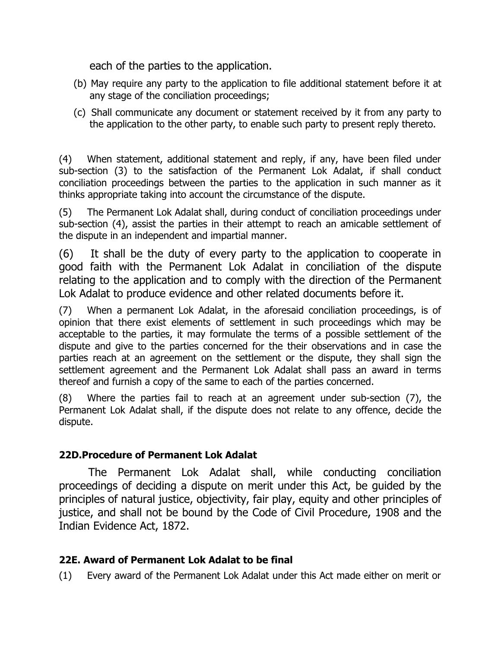each of the parties to the application.

- (b) May require any party to the application to file additional statement before it at any stage of the conciliation proceedings;
- (c) Shall communicate any document or statement received by it from any party to the application to the other party, to enable such party to present reply thereto.

(4) When statement, additional statement and reply, if any, have been filed under sub-section (3) to the satisfaction of the Permanent Lok Adalat, if shall conduct conciliation proceedings between the parties to the application in such manner as it thinks appropriate taking into account the circumstance of the dispute.

(5) The Permanent Lok Adalat shall, during conduct of conciliation proceedings under sub-section (4), assist the parties in their attempt to reach an amicable settlement of the dispute in an independent and impartial manner.

(6) It shall be the duty of every party to the application to cooperate in good faith with the Permanent Lok Adalat in conciliation of the dispute relating to the application and to comply with the direction of the Permanent Lok Adalat to produce evidence and other related documents before it.

(7) When a permanent Lok Adalat, in the aforesaid conciliation proceedings, is of opinion that there exist elements of settlement in such proceedings which may be acceptable to the parties, it may formulate the terms of a possible settlement of the dispute and give to the parties concerned for the their observations and in case the parties reach at an agreement on the settlement or the dispute, they shall sign the settlement agreement and the Permanent Lok Adalat shall pass an award in terms thereof and furnish a copy of the same to each of the parties concerned.

(8) Where the parties fail to reach at an agreement under sub-section (7), the Permanent Lok Adalat shall, if the dispute does not relate to any offence, decide the dispute.

# **22D.Procedure of Permanent Lok Adalat**

The Permanent Lok Adalat shall, while conducting conciliation proceedings of deciding a dispute on merit under this Act, be guided by the principles of natural justice, objectivity, fair play, equity and other principles of justice, and shall not be bound by the Code of Civil Procedure, 1908 and the Indian Evidence Act, 1872.

# **22E. Award of Permanent Lok Adalat to be final**

(1) Every award of the Permanent Lok Adalat under this Act made either on merit or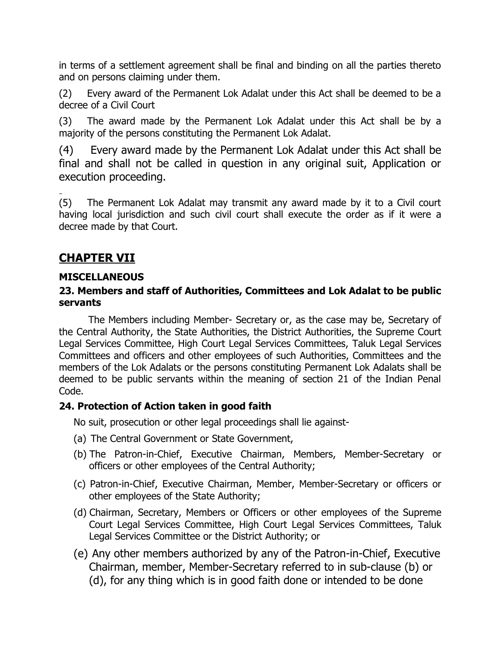in terms of a settlement agreement shall be final and binding on all the parties thereto and on persons claiming under them.

(2) Every award of the Permanent Lok Adalat under this Act shall be deemed to be a decree of a Civil Court

(3) The award made by the Permanent Lok Adalat under this Act shall be by a majority of the persons constituting the Permanent Lok Adalat.

(4) Every award made by the Permanent Lok Adalat under this Act shall be final and shall not be called in question in any original suit, Application or execution proceeding.

(5) The Permanent Lok Adalat may transmit any award made by it to a Civil court having local jurisdiction and such civil court shall execute the order as if it were a decree made by that Court.

# **CHAPTER VII**

### **MISCELLANEOUS**

### **23. Members and staff of Authorities, Committees and Lok Adalat to be public servants**

The Members including Member- Secretary or, as the case may be, Secretary of the Central Authority, the State Authorities, the District Authorities, the Supreme Court Legal Services Committee, High Court Legal Services Committees, Taluk Legal Services Committees and officers and other employees of such Authorities, Committees and the members of the Lok Adalats or the persons constituting Permanent Lok Adalats shall be deemed to be public servants within the meaning of section 21 of the Indian Penal Code.

# **24. Protection of Action taken in good faith**

No suit, prosecution or other legal proceedings shall lie against-

- (a) The Central Government or State Government,
- (b) The Patron-in-Chief, Executive Chairman, Members, Member-Secretary or officers or other employees of the Central Authority;
- (c) Patron-in-Chief, Executive Chairman, Member, Member-Secretary or officers or other employees of the State Authority;
- (d) Chairman, Secretary, Members or Officers or other employees of the Supreme Court Legal Services Committee, High Court Legal Services Committees, Taluk Legal Services Committee or the District Authority; or
- (e) Any other members authorized by any of the Patron-in-Chief, Executive Chairman, member, Member-Secretary referred to in sub-clause (b) or (d), for any thing which is in good faith done or intended to be done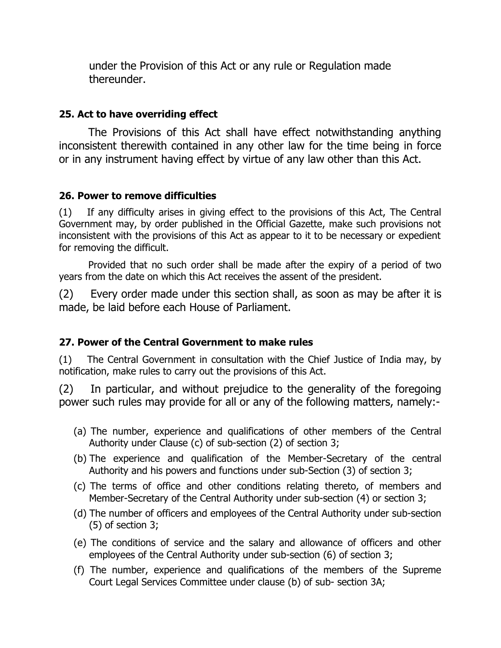under the Provision of this Act or any rule or Regulation made thereunder.

### **25. Act to have overriding effect**

The Provisions of this Act shall have effect notwithstanding anything inconsistent therewith contained in any other law for the time being in force or in any instrument having effect by virtue of any law other than this Act.

### **26. Power to remove difficulties**

(1) If any difficulty arises in giving effect to the provisions of this Act, The Central Government may, by order published in the Official Gazette, make such provisions not inconsistent with the provisions of this Act as appear to it to be necessary or expedient for removing the difficult.

Provided that no such order shall be made after the expiry of a period of two years from the date on which this Act receives the assent of the president.

(2) Every order made under this section shall, as soon as may be after it is made, be laid before each House of Parliament.

# **27. Power of the Central Government to make rules**

(1) The Central Government in consultation with the Chief Justice of India may, by notification, make rules to carry out the provisions of this Act.

(2) In particular, and without prejudice to the generality of the foregoing power such rules may provide for all or any of the following matters, namely:-

- (a) The number, experience and qualifications of other members of the Central Authority under Clause (c) of sub-section (2) of section 3;
- (b) The experience and qualification of the Member-Secretary of the central Authority and his powers and functions under sub-Section (3) of section 3;
- (c) The terms of office and other conditions relating thereto, of members and Member-Secretary of the Central Authority under sub-section (4) or section 3;
- (d) The number of officers and employees of the Central Authority under sub-section (5) of section 3;
- (e) The conditions of service and the salary and allowance of officers and other employees of the Central Authority under sub-section (6) of section 3;
- (f) The number, experience and qualifications of the members of the Supreme Court Legal Services Committee under clause (b) of sub- section 3A;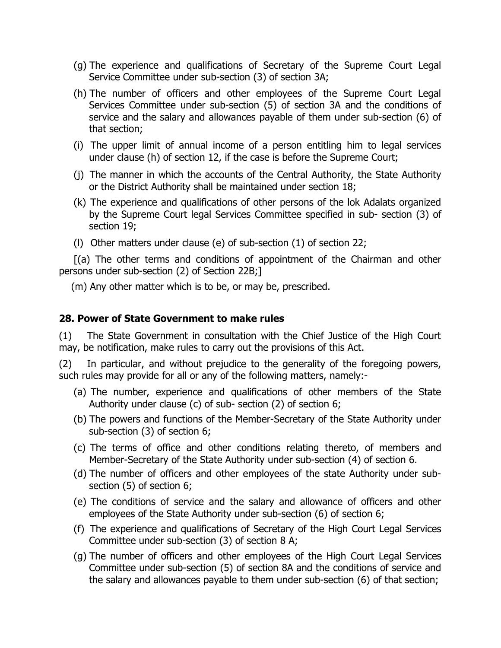- (g) The experience and qualifications of Secretary of the Supreme Court Legal Service Committee under sub-section (3) of section 3A;
- (h) The number of officers and other employees of the Supreme Court Legal Services Committee under sub-section (5) of section 3A and the conditions of service and the salary and allowances payable of them under sub-section (6) of that section;
- (i) The upper limit of annual income of a person entitling him to legal services under clause (h) of section 12, if the case is before the Supreme Court;
- (j) The manner in which the accounts of the Central Authority, the State Authority or the District Authority shall be maintained under section 18;
- (k) The experience and qualifications of other persons of the lok Adalats organized by the Supreme Court legal Services Committee specified in sub- section (3) of section 19;
- (l) Other matters under clause (e) of sub-section (1) of section 22;

[(a) The other terms and conditions of appointment of the Chairman and other persons under sub-section (2) of Section 22B;]

(m) Any other matter which is to be, or may be, prescribed.

#### **28. Power of State Government to make rules**

(1) The State Government in consultation with the Chief Justice of the High Court may, be notification, make rules to carry out the provisions of this Act.

(2) In particular, and without prejudice to the generality of the foregoing powers, such rules may provide for all or any of the following matters, namely:-

- (a) The number, experience and qualifications of other members of the State Authority under clause (c) of sub- section (2) of section 6;
- (b) The powers and functions of the Member-Secretary of the State Authority under sub-section (3) of section 6;
- (c) The terms of office and other conditions relating thereto, of members and Member-Secretary of the State Authority under sub-section (4) of section 6.
- (d) The number of officers and other employees of the state Authority under subsection (5) of section 6;
- (e) The conditions of service and the salary and allowance of officers and other employees of the State Authority under sub-section (6) of section 6;
- (f) The experience and qualifications of Secretary of the High Court Legal Services Committee under sub-section (3) of section 8 A;
- (g) The number of officers and other employees of the High Court Legal Services Committee under sub-section (5) of section 8A and the conditions of service and the salary and allowances payable to them under sub-section (6) of that section;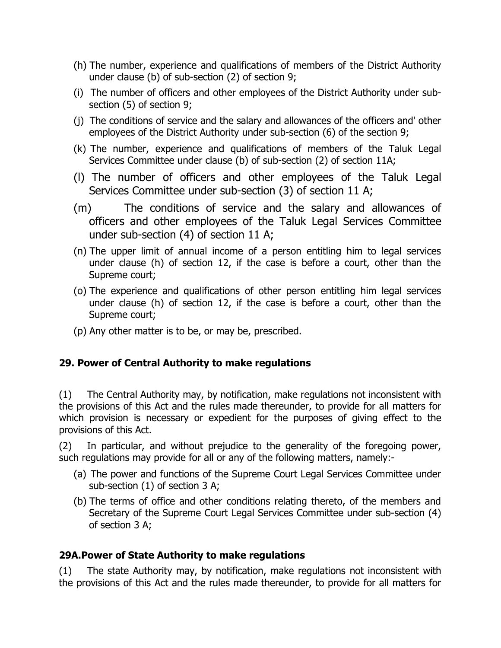- (h) The number, experience and qualifications of members of the District Authority under clause (b) of sub-section (2) of section 9;
- (i) The number of officers and other employees of the District Authority under subsection (5) of section 9;
- (j) The conditions of service and the salary and allowances of the officers and' other employees of the District Authority under sub-section (6) of the section 9;
- (k) The number, experience and qualifications of members of the Taluk Legal Services Committee under clause (b) of sub-section (2) of section 11A;
- (l) The number of officers and other employees of the Taluk Legal Services Committee under sub-section (3) of section 11 A;
- (m) The conditions of service and the salary and allowances of officers and other employees of the Taluk Legal Services Committee under sub-section (4) of section 11 A;
- (n) The upper limit of annual income of a person entitling him to legal services under clause (h) of section 12, if the case is before a court, other than the Supreme court;
- (o) The experience and qualifications of other person entitling him legal services under clause (h) of section 12, if the case is before a court, other than the Supreme court;
- (p) Any other matter is to be, or may be, prescribed.

# **29. Power of Central Authority to make regulations**

(1) The Central Authority may, by notification, make regulations not inconsistent with the provisions of this Act and the rules made thereunder, to provide for all matters for which provision is necessary or expedient for the purposes of giving effect to the provisions of this Act.

(2) In particular, and without prejudice to the generality of the foregoing power, such regulations may provide for all or any of the following matters, namely:-

- (a) The power and functions of the Supreme Court Legal Services Committee under sub-section (1) of section 3 A;
- (b) The terms of office and other conditions relating thereto, of the members and Secretary of the Supreme Court Legal Services Committee under sub-section (4) of section 3 A;

# **29A.Power of State Authority to make regulations**

(1) The state Authority may, by notification, make regulations not inconsistent with the provisions of this Act and the rules made thereunder, to provide for all matters for